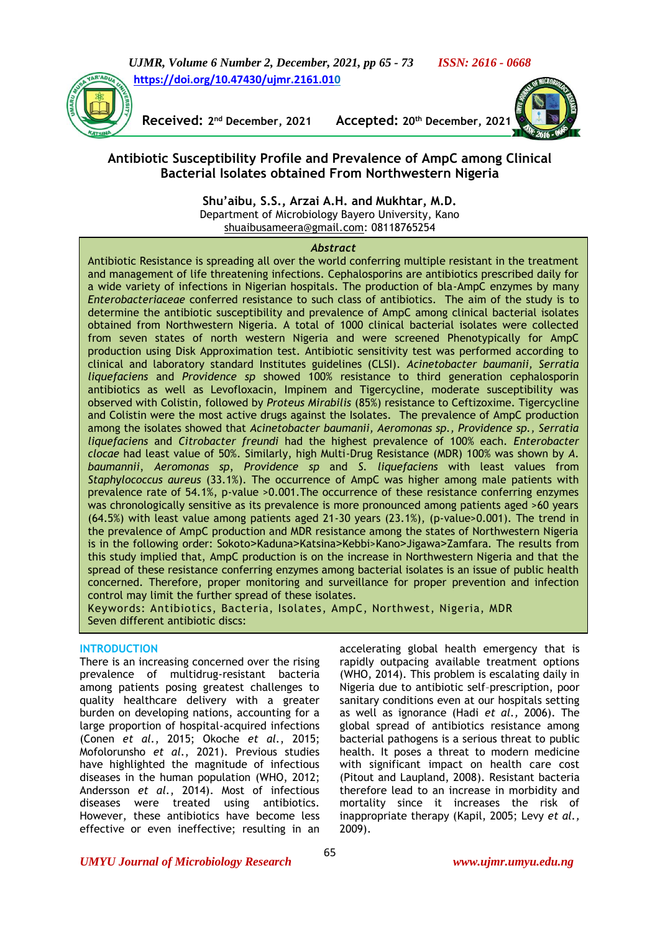*UJMR, Volume 6 Number 2, December, 2021, pp 65 - 73 ISSN: 2616 - 0668* **[https://doi.org/10.47430/ujmr.2161.010](https://doi.org/10.47430/ujmr.2161.01)**



**Received: 2**

**nd December, 2021 Accepted: 20th December, 2021**



# **Antibiotic Susceptibility Profile and Prevalence of AmpC among Clinical Bacterial Isolates obtained From Northwestern Nigeria**

**Shu'aibu, S.S., Arzai A.H. and Mukhtar, M.D.**  Department of Microbiology Bayero University, Kano [shuaibusameera@gmail.com:](mailto:shuaibusameera@gmail.com) 08118765254

#### *Abstract*

Antibiotic Resistance is spreading all over the world conferring multiple resistant in the treatment and management of life threatening infections. Cephalosporins are antibiotics prescribed daily for a wide variety of infections in Nigerian hospitals. The production of bla-AmpC enzymes by many *Enterobacteriaceae* conferred resistance to such class of antibiotics. The aim of the study is to determine the antibiotic susceptibility and prevalence of AmpC among clinical bacterial isolates obtained from Northwestern Nigeria. A total of 1000 clinical bacterial isolates were collected from seven states of north western Nigeria and were screened Phenotypically for AmpC production using Disk Approximation test. Antibiotic sensitivity test was performed according to clinical and laboratory standard Institutes guidelines (CLSI). *Acinetobacter baumanii, Serratia liquefaciens* and *Providence sp* showed 100% resistance to third generation cephalosporin antibiotics as well as Levofloxacin, Impinem and Tigercycline, moderate susceptibility was observed with Colistin, followed by *Proteus Mirabilis* (85%) resistance to Ceftizoxime. Tigercycline and Colistin were the most active drugs against the Isolates. The prevalence of AmpC production among the isolates showed that *Acinetobacter baumanii, Aeromonas sp., Providence sp., Serratia liquefaciens* and *Citrobacter freundi* had the highest prevalence of 100% each. *Enterobacter clocae* had least value of 50%. Similarly, high Multi-Drug Resistance (MDR) 100% was shown by *A. baumannii*, *Aeromonas sp*, *Providence sp* and *S. liquefaciens* with least values from *Staphylococcus aureus* (33.1%). The occurrence of AmpC was higher among male patients with prevalence rate of 54.1%, p-value >0.001.The occurrence of these resistance conferring enzymes was chronologically sensitive as its prevalence is more pronounced among patients aged >60 years (64.5%) with least value among patients aged 21-30 years (23.1%), (p-value>0.001). The trend in the prevalence of AmpC production and MDR resistance among the states of Northwestern Nigeria is in the following order: Sokoto˃Kaduna˃Katsina˃Kebbi>Kano˃Jigawa˃Zamfara*.* The results from this study implied that, AmpC production is on the increase in Northwestern Nigeria and that the spread of these resistance conferring enzymes among bacterial isolates is an issue of public health concerned. Therefore, proper monitoring and surveillance for proper prevention and infection control may limit the further spread of these isolates.

Keywords: Antibiotics, Bacteria, Isolates, AmpC, Northwest, Nigeria, MDR Seven different antibiotic discs:

#### **INTRODUCTION**

There is an increasing concerned over the rising prevalence of multidrug-resistant bacteria among patients posing greatest challenges to quality healthcare delivery with a greater burden on developing nations, accounting for a large proportion of hospital-acquired infections (Conen *et al.*, 2015; Okoche *et al.*, 2015; Mofolorunsho *et al.*, 2021). Previous studies have highlighted the magnitude of infectious diseases in the human population (WHO, 2012; Andersson *et al.*, 2014). Most of infectious diseases were treated using antibiotics. However, these antibiotics have become less effective or even ineffective; resulting in an

accelerating global health emergency that is rapidly outpacing available treatment options (WHO, 2014). This problem is escalating daily in Nigeria due to antibiotic self–prescription, poor sanitary conditions even at our hospitals setting as well as ignorance (Hadi *et al.,* 2006). The global spread of antibiotics resistance among bacterial pathogens is a serious threat to public health. It poses a threat to modern medicine with significant impact on health care cost (Pitout and Laupland, 2008). Resistant bacteria therefore lead to an increase in morbidity and mortality since it increases the risk of inappropriate therapy (Kapil, 2005; Levy *et al.,* 2009).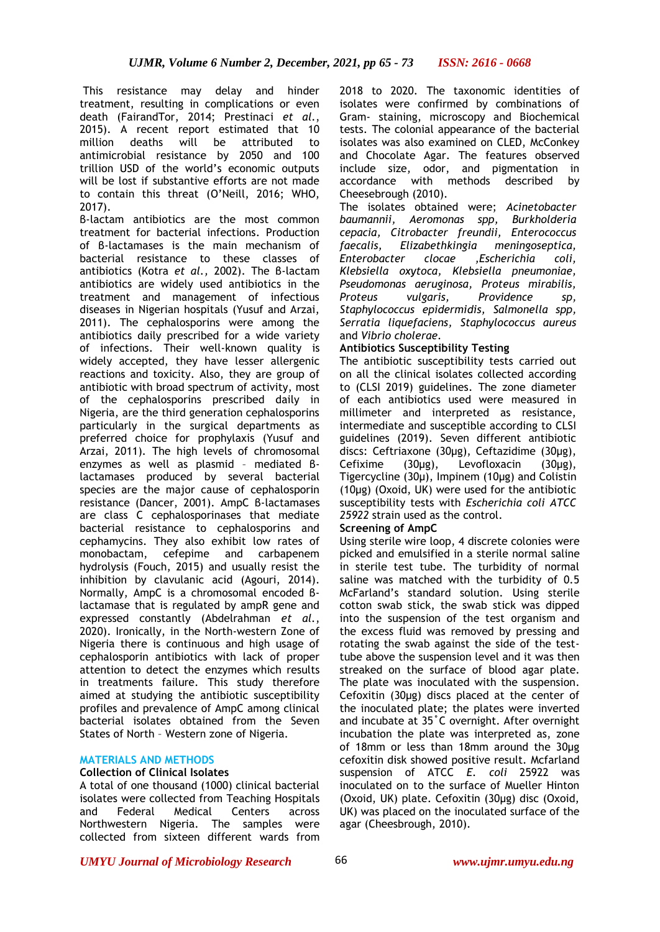This resistance may delay and hinder treatment, resulting in complications or even death (FairandTor, 2014; Prestinaci *et al.*, 2015). A recent report estimated that 10 million deaths will be attributed to antimicrobial resistance by 2050 and 100 trillion USD of the world's economic outputs will be lost if substantive efforts are not made to contain this threat (O'Neill, 2016; WHO, 2017).

β-lactam antibiotics are the most common treatment for bacterial infections. Production of β-lactamases is the main mechanism of bacterial resistance to these classes of antibiotics (Kotra *et al.,* 2002). The β-lactam antibiotics are widely used antibiotics in the treatment and management of infectious diseases in Nigerian hospitals (Yusuf and Arzai, 2011). The cephalosporins were among the antibiotics daily prescribed for a wide variety of infections. Their well-known quality is widely accepted, they have lesser allergenic reactions and toxicity. Also, they are group of antibiotic with broad spectrum of activity, most of the cephalosporins prescribed daily in Nigeria, are the third generation cephalosporins particularly in the surgical departments as preferred choice for prophylaxis (Yusuf and Arzai, 2011). The high levels of chromosomal enzymes as well as plasmid – mediated βlactamases produced by several bacterial species are the major cause of cephalosporin resistance (Dancer, 2001). AmpC β-lactamases are class C cephalosporinases that mediate bacterial resistance to cephalosporins and cephamycins. They also exhibit low rates of monobactam, cefepime and carbapenem hydrolysis (Fouch, 2015) and usually resist the inhibition by clavulanic acid (Agouri, 2014). Normally, AmpC is a chromosomal encoded βlactamase that is regulated by ampR gene and expressed constantly (Abdelrahman *et al.*, 2020). Ironically, in the North-western Zone of Nigeria there is continuous and high usage of cephalosporin antibiotics with lack of proper attention to detect the enzymes which results in treatments failure. This study therefore aimed at studying the antibiotic susceptibility profiles and prevalence of AmpC among clinical bacterial isolates obtained from the Seven States of North – Western zone of Nigeria.

# **MATERIALS AND METHODS**

## **Collection of Clinical Isolates**

A total of one thousand (1000) clinical bacterial isolates were collected from Teaching Hospitals and Federal Medical Centers across Northwestern Nigeria. The samples were collected from sixteen different wards from

2018 to 2020. The taxonomic identities of isolates were confirmed by combinations of Gram- staining, microscopy and Biochemical tests. The colonial appearance of the bacterial isolates was also examined on CLED, McConkey and Chocolate Agar. The features observed include size, odor, and pigmentation in accordance with methods described by Cheesebrough (2010).

The isolates obtained were; *Acinetobacter baumannii, Aeromonas spp, Burkholderia cepacia, Citrobacter freundii, Enterococcus faecalis, Elizabethkingia meningoseptica, Enterobacter clocae ,Escherichia coli, Klebsiella oxytoca, Klebsiella pneumoniae, Pseudomonas aeruginosa, Proteus mirabilis, Proteus vulgaris, Providence sp, Staphylococcus epidermidis, Salmonella spp, Serratia liquefaciens, Staphylococcus aureus* and *Vibrio cholerae.* 

#### **Antibiotics Susceptibility Testing**

The antibiotic susceptibility tests carried out on all the clinical isolates collected according to (CLSI 2019) guidelines. The zone diameter of each antibiotics used were measured in millimeter and interpreted as resistance, intermediate and susceptible according to CLSI guidelines (2019). Seven different antibiotic discs: Ceftriaxone (30µg), Ceftazidime (30µg), Cefixime (30µg), Levofloxacin (30μg), Tigercycline (30μ), Impinem (10μg) and Colistin (10μg) (Oxoid, UK) were used for the antibiotic susceptibility tests with *Escherichia coli ATCC 25922* strain used as the control.

#### **Screening of AmpC**

Using sterile wire loop, 4 discrete colonies were picked and emulsified in a sterile normal saline in sterile test tube. The turbidity of normal saline was matched with the turbidity of 0.5 McFarland's standard solution. Using sterile cotton swab stick, the swab stick was dipped into the suspension of the test organism and the excess fluid was removed by pressing and rotating the swab against the side of the testtube above the suspension level and it was then streaked on the surface of blood agar plate. The plate was inoculated with the suspension. Cefoxitin (30µg) discs placed at the center of the inoculated plate; the plates were inverted and incubate at 35˚C overnight. After overnight incubation the plate was interpreted as, zone of 18mm or less than 18mm around the 30µg cefoxitin disk showed positive result. Mcfarland suspension of ATCC *E. coli* 25922 was inoculated on to the surface of Mueller Hinton (Oxoid, UK) plate. Cefoxitin (30µg) disc (Oxoid, UK) was placed on the inoculated surface of the agar (Cheesbrough, 2010).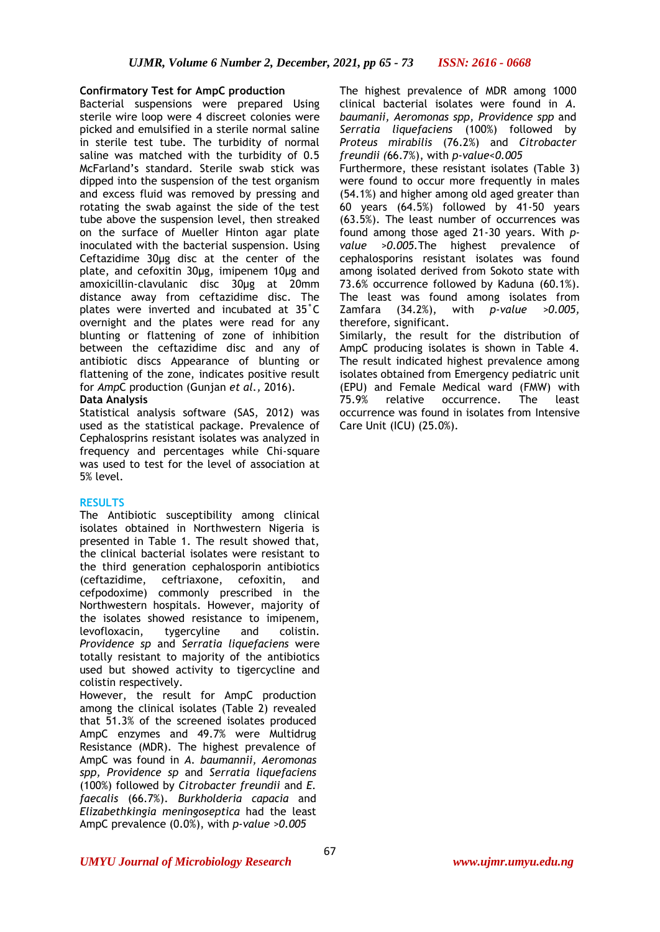## **Confirmatory Test for AmpC production**

Bacterial suspensions were prepared Using sterile wire loop were 4 discreet colonies were picked and emulsified in a sterile normal saline in sterile test tube. The turbidity of normal saline was matched with the turbidity of 0.5 McFarland's standard. Sterile swab stick was dipped into the suspension of the test organism and excess fluid was removed by pressing and rotating the swab against the side of the test tube above the suspension level, then streaked on the surface of Mueller Hinton agar plate inoculated with the bacterial suspension. Using Ceftazidime 30µg disc at the center of the plate, and cefoxitin 30µg, imipenem 10µg and amoxicillin-clavulanic disc 30µg at 20mm distance away from ceftazidime disc. The plates were inverted and incubated at 35˚C overnight and the plates were read for any blunting or flattening of zone of inhibition between the ceftazidime disc and any of antibiotic discs Appearance of blunting or flattening of the zone, indicates positive result for *Amp*C production (Gunjan *et al.,* 2016).

## **Data Analysis**

Statistical analysis software (SAS, 2012) was used as the statistical package. Prevalence of Cephalosprins resistant isolates was analyzed in frequency and percentages while Chi-square was used to test for the level of association at 5% level.

# **RESULTS**

The Antibiotic susceptibility among clinical isolates obtained in Northwestern Nigeria is presented in Table 1. The result showed that, the clinical bacterial isolates were resistant to the third generation cephalosporin antibiotics (ceftazidime, ceftriaxone, cefoxitin, and cefpodoxime) commonly prescribed in the Northwestern hospitals. However, majority of the isolates showed resistance to imipenem, levofloxacin, tygercyline and colistin. *Providence sp* and *Serratia liquefaciens* were totally resistant to majority of the antibiotics used but showed activity to tigercycline and colistin respectively.

However, the result for AmpC production among the clinical isolates (Table 2) revealed that 51.3% of the screened isolates produced AmpC enzymes and 49.7% were Multidrug Resistance (MDR). The highest prevalence of AmpC was found in *A. baumannii, Aeromonas spp, Providence sp* and *Serratia liquefaciens* (100%) followed by *Citrobacter freundii* and *E. faecalis* (66.7%). *Burkholderia capacia* and *Elizabethkingia meningoseptica* had the least AmpC prevalence (0.0%), with *p-value >0.005*

The highest prevalence of MDR among 1000 clinical bacterial isolates were found in *A. baumanii, Aeromonas spp, Providence spp* and *Serratia liquefaciens* (100%) followed by *Proteus mirabilis* (76.2%) and *Citrobacter freundii (*66.7%), with *p-value<0.005*

Furthermore, these resistant isolates (Table 3) were found to occur more frequently in males (54.1%) and higher among old aged greater than 60 years (64.5%) followed by 41-50 years (63.5%). The least number of occurrences was found among those aged 21-30 years. With *pvalue >0.005.*The highest prevalence of cephalosporins resistant isolates was found among isolated derived from Sokoto state with 73.6% occurrence followed by Kaduna (60.1%). The least was found among isolates from Zamfara (34.2%), with *p-value >0.005,*  therefore, significant.

Similarly, the result for the distribution of AmpC producing isolates is shown in Table 4. The result indicated highest prevalence among isolates obtained from Emergency pediatric unit (EPU) and Female Medical ward (FMW) with 75.9% relative occurrence. The least occurrence was found in isolates from Intensive Care Unit (ICU) (25.0%).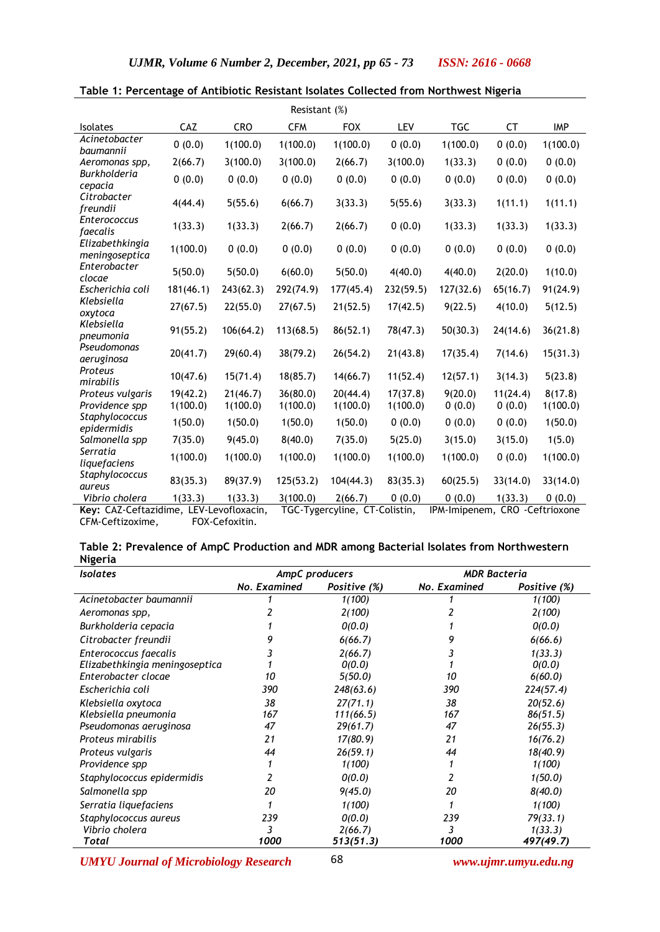| Resistant (%)                                           |                      |                      |                      |                                        |                      |                                |                    |                           |
|---------------------------------------------------------|----------------------|----------------------|----------------------|----------------------------------------|----------------------|--------------------------------|--------------------|---------------------------|
| Isolates                                                | CAZ                  | <b>CRO</b>           | <b>CFM</b>           | <b>FOX</b>                             | <b>LEV</b>           | <b>TGC</b>                     | CT                 | <b>IMP</b>                |
| Acinetobacter<br>baumannii                              | 0(0.0)               | 1(100.0)             | 1(100.0)             | 1(100.0)                               | 0(0.0)               | 1(100.0)                       | 0(0.0)             | 1(100.0)                  |
| Aeromonas spp,                                          | 2(66.7)              | 3(100.0)             | 3(100.0)             | 2(66.7)                                | 3(100.0)             | 1(33.3)                        | 0(0.0)             | 0(0.0)                    |
| <b>Burkholderia</b><br>cepacia                          | 0(0.0)               | 0(0.0)               | 0(0.0)               | 0(0.0)                                 | 0(0.0)               | 0(0.0)                         | 0(0.0)             | 0(0.0)                    |
| Citrobacter<br>freundii                                 | 4(44.4)              | 5(55.6)              | 6(66.7)              | 3(33.3)                                | 5(55.6)              | 3(33.3)                        | 1(11.1)            | 1(11.1)                   |
| <b>Enterococcus</b><br>faecalis                         | 1(33.3)              | 1(33.3)              | 2(66.7)              | 2(66.7)                                | 0(0.0)               | 1(33.3)                        | 1(33.3)            | 1(33.3)                   |
| Elizabethkingia<br>meningoseptica                       | 1(100.0)             | 0(0.0)               | 0(0.0)               | 0(0.0)                                 | 0(0.0)               | 0(0.0)                         | 0(0.0)             | 0(0.0)                    |
| Enterobacter<br>clocae                                  | 5(50.0)              | 5(50.0)              | 6(60.0)              | 5(50.0)                                | 4(40.0)              | 4(40.0)                        | 2(20.0)            | 1(10.0)                   |
| Escherichia coli                                        | 181(46.1)            | 243(62.3)            | 292(74.9)            | 177(45.4)                              | 232(59.5)            | 127(32.6)                      | 65(16.7)           | 91(24.9)                  |
| Klebsiella<br>oxytoca                                   | 27(67.5)             | 22(55.0)             | 27(67.5)             | 21(52.5)                               | 17(42.5)             | 9(22.5)                        | 4(10.0)            | 5(12.5)                   |
| Klebsiella<br>pneumonia                                 | 91(55.2)             | 106(64.2)            | 113(68.5)            | 86(52.1)                               | 78(47.3)             | 50(30.3)                       | 24(14.6)           | 36(21.8)                  |
| Pseudomonas<br>aeruginosa                               | 20(41.7)             | 29(60.4)             | 38(79.2)             | 26(54.2)                               | 21(43.8)             | 17(35.4)                       | 7(14.6)            | 15(31.3)                  |
| Proteus<br>mirabilis                                    | 10(47.6)             | 15(71.4)             | 18(85.7)             | 14(66.7)                               | 11(52.4)             | 12(57.1)                       | 3(14.3)            | 5(23.8)                   |
| Proteus vulgaris<br>Providence spp                      | 19(42.2)<br>1(100.0) | 21(46.7)<br>1(100.0) | 36(80.0)<br>1(100.0) | 20(44.4)<br>1(100.0)                   | 17(37.8)<br>1(100.0) | 9(20.0)<br>0(0.0)              | 11(24.4)<br>0(0.0) | 8(17.8)<br>1(100.0)       |
| Staphylococcus<br>epidermidis                           | 1(50.0)              | 1(50.0)              | 1(50.0)              | 1(50.0)                                | 0(0.0)               | 0(0.0)                         | 0(0.0)             | 1(50.0)                   |
| Salmonella spp                                          | 7(35.0)              | 9(45.0)              | 8(40.0)              | 7(35.0)                                | 5(25.0)              | 3(15.0)                        | 3(15.0)            | 1(5.0)                    |
| Serratia<br>liquefaciens                                | 1(100.0)             | 1(100.0)             | 1(100.0)             | 1(100.0)                               | 1(100.0)             | 1(100.0)                       | 0(0.0)             | 1(100.0)                  |
| Staphylococcus<br>aureus                                | 83(35.3)             | 89(37.9)             | 125(53.2)            | 104(44.3)                              | 83(35.3)             | 60(25.5)                       | 33(14.0)           | 33(14.0)                  |
| Vibrio cholera<br>Key: CAZ-Ceftazidime LEV-Levoflovacin | 1(33.3)              | 1(33.3)              | 3(100.0)             | 2(66.7)<br>TCC-Tygercyline CT-Colistin | 0(0.0)               | 0(0.0)<br><b>IDM</b> -Iminenem | 1(33.3)            | 0(0.0)<br>CRO Ceftriovone |

|  |  | Table 1: Percentage of Antibiotic Resistant Isolates Collected from Northwest Nigeria |  |  |  |  |  |  |  |
|--|--|---------------------------------------------------------------------------------------|--|--|--|--|--|--|--|
|--|--|---------------------------------------------------------------------------------------|--|--|--|--|--|--|--|

**Key:** CAZ-Ceftazidime, LEV-Levofloxacin, TGC-Tygercyline, CT-Colistin, IPM-Imipenem, CRO -Ceftrioxone CFM-Ceftizoxime, FOX-Cefoxitin.

| Table 2: Prevalence of AmpC Production and MDR among Bacterial Isolates from Northwestern |
|-------------------------------------------------------------------------------------------|
| <b>Nigeria</b>                                                                            |

| <b>Isolates</b>                |              | AmpC producers | <b>MDR Bacteria</b> |              |  |
|--------------------------------|--------------|----------------|---------------------|--------------|--|
|                                | No. Examined | Positive (%)   | No. Examined        | Positive (%) |  |
| Acinetobacter baumannii        |              | 1(100)         |                     | 1(100)       |  |
| Aeromonas spp,                 |              | 2(100)         |                     | 2(100)       |  |
| Burkholderia cepacia           |              | O(0.0)         |                     | O(0.0)       |  |
| Citrobacter freundii           |              | 6(66.7)        |                     | 6(66.6)      |  |
| Enterococcus faecalis          |              | 2(66.7)        |                     | 1(33.3)      |  |
| Elizabethkingia meningoseptica |              | O(0.0)         |                     | O(0.0)       |  |
| Enterobacter clocae            | 10           | 5(50.0)        | 10                  | 6(60.0)      |  |
| Escherichia coli               | 390          | 248(63.6)      | 390                 | 224(57.4)    |  |
| Klebsiella oxytoca             | 38           | 27(71.1)       | 38                  | 20(52.6)     |  |
| Klebsiella pneumonia           | 167          | 111(66.5)      | 167                 | 86(51.5)     |  |
| Pseudomonas aeruginosa         | 47           | 29(61.7)       | 47                  | 26(55.3)     |  |
| Proteus mirabilis              | 21           | 17(80.9)       | 21                  | 16(76.2)     |  |
| Proteus vulgaris               | 44           | 26(59.1)       | 44                  | 18(40.9)     |  |
| Providence spp                 |              | 1(100)         |                     | 1(100)       |  |
| Staphylococcus epidermidis     | 2            | O(0.0)         |                     | 1(50.0)      |  |
| Salmonella spp                 | 20           | 9(45.0)        | 20                  | 8(40.0)      |  |
| Serratia liquefaciens          |              | 1(100)         |                     | 1(100)       |  |
| Staphylococcus aureus          | 239          | O(0.0)         | 239                 | 79(33.1)     |  |
| Vibrio cholera                 | 3            | 2(66.7)        | 3                   | 1(33.3)      |  |
| Total                          | 1000         | 513(51.3)      | 1000                | 497(49.7)    |  |

*UMYU Journal of Microbiology Research www.ujmr.umyu.edu.ng*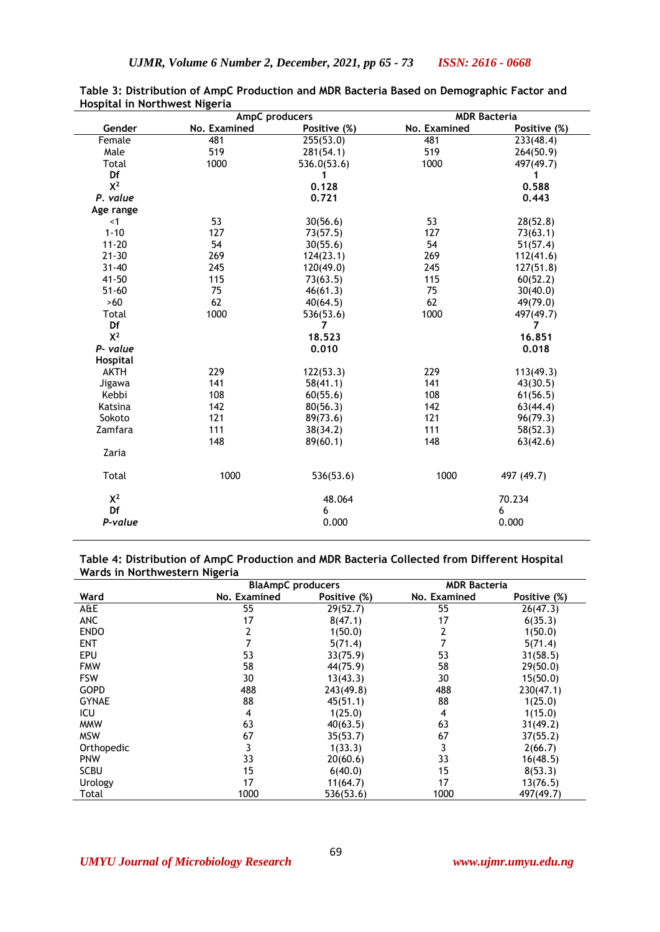|              | AmpC producers |              | <b>MDR Bacteria</b> |              |  |
|--------------|----------------|--------------|---------------------|--------------|--|
| Gender       | No. Examined   | Positive (%) | No. Examined        | Positive (%) |  |
| Female       | 481            | 255(53.0)    | 481                 | 233(48.4)    |  |
| Male         | 519            | 281(54.1)    | 519                 | 264(50.9)    |  |
| Total        | 1000           | 536.0(53.6)  | 1000                | 497(49.7)    |  |
| Df           |                | 1            |                     | 1            |  |
| $X^2$        |                | 0.128        |                     | 0.588        |  |
| P. value     |                | 0.721        |                     | 0.443        |  |
| Age range    |                |              |                     |              |  |
| $<$ 1        | 53             | 30(56.6)     | 53                  | 28(52.8)     |  |
| $1 - 10$     | 127            | 73(57.5)     | 127                 | 73(63.1)     |  |
| $11 - 20$    | 54             | 30(55.6)     | 54                  | 51(57.4)     |  |
| $21 - 30$    | 269            | 124(23.1)    | 269                 | 112(41.6)    |  |
| $31 - 40$    | 245            | 120(49.0)    | 245                 | 127(51.8)    |  |
| $41 - 50$    | 115            | 73(63.5)     | 115                 | 60(52.2)     |  |
| $51 - 60$    | 75             | 46(61.3)     | 75                  | 30(40.0)     |  |
| $>60$        | 62             | 40(64.5)     | 62                  | 49(79.0)     |  |
| Total        | 1000           | 536(53.6)    | 1000                | 497(49.7)    |  |
| Df           |                | 7            |                     | 7            |  |
| $X^2$        |                | 18.523       |                     | 16.851       |  |
| P- value     |                | 0.010        |                     | 0.018        |  |
| Hospital     |                |              |                     |              |  |
| <b>AKTH</b>  | 229            | 122(53.3)    | 229                 | 113(49.3)    |  |
| Jigawa       | 141            | 58(41.1)     | 141                 | 43(30.5)     |  |
| Kebbi        | 108            | 60(55.6)     | 108                 | 61(56.5)     |  |
| Katsina      | 142            | 80(56.3)     | 142                 | 63(44.4)     |  |
| Sokoto       | 121            | 89(73.6)     | 121                 | 96(79.3)     |  |
| Zamfara      | 111            | 38(34.2)     | 111                 | 58(52.3)     |  |
|              | 148            | 89(60.1)     | 148                 | 63(42.6)     |  |
| Zaria        |                |              |                     |              |  |
| <b>Total</b> | 1000           | 536(53.6)    | 1000                | 497 (49.7)   |  |
| $X^2$        |                | 48.064       |                     | 70.234       |  |
| Df           |                | 6            |                     | 6            |  |
| P-value      |                | 0.000        |                     | 0.000        |  |

**Table 3: Distribution of AmpC Production and MDR Bacteria Based on Demographic Factor and Hospital in Northwest Nigeria**

**Table 4: Distribution of AmpC Production and MDR Bacteria Collected from Different Hospital Wards in Northwestern Nigeria**

|              |              | <b>BlaAmpC</b> producers |              | <b>MDR Bacteria</b> |
|--------------|--------------|--------------------------|--------------|---------------------|
| Ward         | No. Examined | Positive (%)             | No. Examined | Positive (%)        |
| A&E          | 55           | 29(52.7)                 | 55           | 26(47.3)            |
| <b>ANC</b>   | 17           | 8(47.1)                  | 17           | 6(35.3)             |
| <b>ENDO</b>  |              | 1(50.0)                  |              | 1(50.0)             |
| <b>ENT</b>   |              | 5(71.4)                  |              | 5(71.4)             |
| <b>EPU</b>   | 53           | 33(75.9)                 | 53           | 31(58.5)            |
| <b>FMW</b>   | 58           | 44(75.9)                 | 58           | 29(50.0)            |
| <b>FSW</b>   | 30           | 13(43.3)                 | 30           | 15(50.0)            |
| <b>GOPD</b>  | 488          | 243(49.8)                | 488          | 230(47.1)           |
| <b>GYNAE</b> | 88           | 45(51.1)                 | 88           | 1(25.0)             |
| ICU          | 4            | 1(25.0)                  | 4            | 1(15.0)             |
| <b>MMW</b>   | 63           | 40(63.5)                 | 63           | 31(49.2)            |
| <b>MSW</b>   | 67           | 35(53.7)                 | 67           | 37(55.2)            |
| Orthopedic   |              | 1(33.3)                  | 3            | 2(66.7)             |
| <b>PNW</b>   | 33           | 20(60.6)                 | 33           | 16(48.5)            |
| <b>SCBU</b>  | 15           | 6(40.0)                  | 15           | 8(53.3)             |
| Urology      | 17           | 11(64.7)                 | 17           | 13(76.5)            |
| Total        | 1000         | 536(53.6)                | 1000         | 497(49.7)           |

J.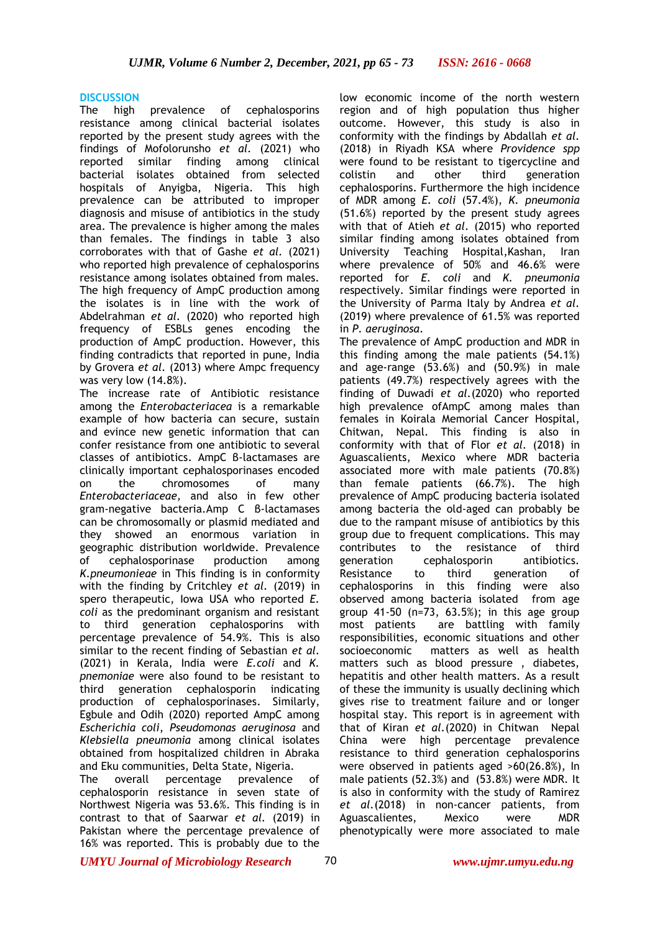#### **DISCUSSION**

The high prevalence of cephalosporins resistance among clinical bacterial isolates reported by the present study agrees with the findings of Mofolorunsho *et al.* (2021) who reported similar finding among clinical bacterial isolates obtained from selected hospitals of Anyigba, Nigeria. This high prevalence can be attributed to improper diagnosis and misuse of antibiotics in the study area. The prevalence is higher among the males than females. The findings in table 3 also corroborates with that of Gashe *et al.* (2021) who reported high prevalence of cephalosporins resistance among isolates obtained from males. The high frequency of AmpC production among the isolates is in line with the work of Abdelrahman *et al.* (2020) who reported high frequency of ESBLs genes encoding the production of AmpC production. However, this finding contradicts that reported in pune, India by Grovera *et al.* (2013) where Ampc frequency was very low (14.8%).

The increase rate of Antibiotic resistance among the *Enterobacteriacea* is a remarkable example of how bacteria can secure, sustain and evince new genetic information that can confer resistance from one antibiotic to several classes of antibiotics. AmpC β-lactamases are clinically important cephalosporinases encoded on the chromosomes of many *Enterobacteriaceae,* and also in few other gram-negative bacteria.Amp C β-lactamases can be chromosomally or plasmid mediated and they showed an enormous variation in geographic distribution worldwide. Prevalence of cephalosporinase production among *K*.*pneumonieae* in This finding is in conformity with the finding by Critchley *et al.* (2019) in spero therapeutic, Iowa USA who reported *E. coli* as the predominant organism and resistant to third generation cephalosporins with percentage prevalence of 54.9%. This is also similar to the recent finding of Sebastian *et al.* (2021) in Kerala, India were *E.coli* and *K. pnemoniae* were also found to be resistant to third generation cephalosporin indicating production of cephalosporinases. Similarly, Egbule and Odih (2020) reported AmpC among *Escherichia coli*, *Pseudomonas aeruginosa* and *Klebsiella pneumonia* among clinical isolates obtained from hospitalized children in Abraka and Eku communities, Delta State, Nigeria.

The overall percentage prevalence of cephalosporin resistance in seven state of Northwest Nigeria was 53.6%. This finding is in contrast to that of Saarwar *et al.* (2019) in Pakistan where the percentage prevalence of 16% was reported. This is probably due to the

low economic income of the north western region and of high population thus higher outcome. However, this study is also in conformity with the findings by Abdallah *et al.* (2018) in Riyadh KSA where *Providence spp* were found to be resistant to tigercycline and colistin and other third generation cephalosporins. Furthermore the high incidence of MDR among *E. coli* (57.4%), *K. pneumonia*  (51.6%) reported by the present study agrees with that of Atieh *et al.* (2015) who reported similar finding among isolates obtained from University Teaching Hospital,Kashan, Iran where prevalence of 50% and 46.6% were reported for *E. coli* and *K. pneumonia*  respectively. Similar findings were reported in the University of Parma Italy by Andrea *et al.* (2019) where prevalence of 61.5% was reported in *P*. *aeruginosa*.

The prevalence of AmpC production and MDR in this finding among the male patients (54.1%) and age-range (53.6%) and (50.9%) in male patients (49.7%) respectively agrees with the finding of Duwadi *et al.*(2020) who reported high prevalence ofAmpC among males than females in Koirala Memorial Cancer Hospital, Chitwan, Nepal. This finding is also in conformity with that of Flor *et al.* (2018) in Aguascalients, Mexico where MDR bacteria associated more with male patients (70.8%) than female patients (66.7%). The high prevalence of AmpC producing bacteria isolated among bacteria the old-aged can probably be due to the rampant misuse of antibiotics by this group due to frequent complications. This may contributes to the resistance of third generation cephalosporin antibiotics. Resistance to third generation of cephalosporins in this finding were also observed among bacteria isolated from age group 41-50 (n=73, 63.5%); in this age group most patients are battling with family responsibilities, economic situations and other socioeconomic matters as well as health matters such as blood pressure , diabetes, hepatitis and other health matters. As a result of these the immunity is usually declining which gives rise to treatment failure and or longer hospital stay. This report is in agreement with that of Kiran *et al.*(2020) in Chitwan Nepal China were high percentage prevalence resistance to third generation cephalosporins were observed in patients aged >60(26.8%), In male patients (52.3%) and (53.8%) were MDR. It is also in conformity with the study of Ramirez *et al.*(2018) in non-cancer patients, from Aguascalientes, Mexico were MDR phenotypically were more associated to male

*UMYU Journal of Microbiology Research www.ujmr.umyu.edu.ng*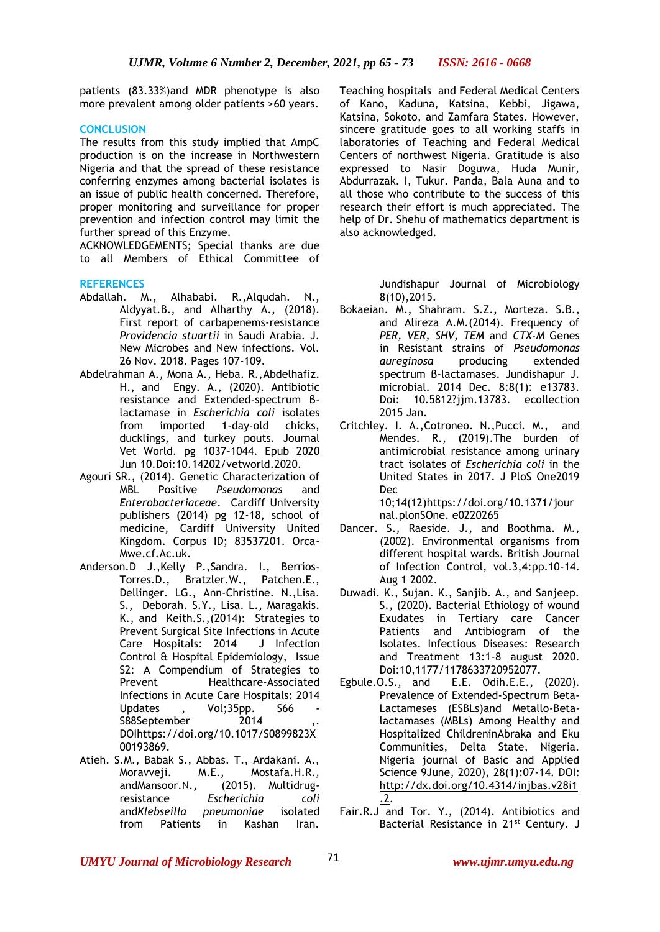patients (83.33%)and MDR phenotype is also more prevalent among older patients >60 years.

## **CONCLUSION**

The results from this study implied that AmpC production is on the increase in Northwestern Nigeria and that the spread of these resistance conferring enzymes among bacterial isolates is an issue of public health concerned. Therefore, proper monitoring and surveillance for proper prevention and infection control may limit the further spread of this Enzyme.

ACKNOWLEDGEMENTS; Special thanks are due to all Members of Ethical Committee of

## **REFERENCES**

- Abdallah. M., Alhababi. R.,Alqudah. N., Aldyyat.B., and Alharthy A., (2018). First report of carbapenems-resistance *Providencia stuartii* in Saudi Arabia. J. New Microbes and New infections. Vol. 26 Nov. 2018. Pages 107-109.
- Abdelrahman A., Mona A., Heba. R.,Abdelhafiz. H., and Engy. A., (2020). Antibiotic resistance and Extended-spectrum βlactamase in *Escherichia coli* isolates from imported 1-day-old chicks, ducklings, and turkey pouts. Journal Vet World. pg 1037-1044. Epub 2020 Jun 10.Doi:10.14202/vetworld.2020.
- Agouri SR., (2014). Genetic Characterization of MBL Positive *Pseudomonas* and *Enterobacteriaceae*. Cardiff University publishers (2014) pg 12-18, school of medicine, Cardiff University United Kingdom. Corpus ID; 83537201. Orca-Mwe.cf.Ac.uk.
- [Anderson.](https://www.cambridge.org/core/search?filters%5BauthorTerms%5D=Deverick%20J.%20Anderson&eventCode=SE-AU)D J.,Kelly P.,Sandra. [I., Berríos-](https://www.cambridge.org/core/search?filters%5BauthorTerms%5D=Sandra%20I.%20Berr%C3%ADos-Torres&eventCode=SE-AU)[Torres.](https://www.cambridge.org/core/search?filters%5BauthorTerms%5D=Sandra%20I.%20Berr%C3%ADos-Torres&eventCode=SE-AU)[D., Bratzler.](https://www.cambridge.org/core/search?filters%5BauthorTerms%5D=Dale%20W.%20Bratzler&eventCode=SE-AU)W., [Patchen.E.,](https://www.cambridge.org/core/search?filters%5BauthorTerms%5D=E.%20Patchen%20Dellinger&eventCode=SE-AU) [Dellinger.](https://www.cambridge.org/core/search?filters%5BauthorTerms%5D=E.%20Patchen%20Dellinger&eventCode=SE-AU) LG., Ann-Christine. N.,Lisa. S., Deborah. S.Y., Lisa. L., [Maragakis.](https://www.cambridge.org/core/search?filters%5BauthorTerms%5D=Lisa%20L.%20Maragakis&eventCode=SE-AU) K., and Keith.S.,(2014): Strategies to Prevent Surgical Site Infections in Acute Care Hospitals: 2014 J Infection Control & Hospital Epidemiology, [Issue](https://www.cambridge.org/core/journals/infection-control-and-hospital-epidemiology/issue/BA33D908941B70215812A420412C92E6)  [S2: A Compendium of Strategies to](https://www.cambridge.org/core/journals/infection-control-and-hospital-epidemiology/issue/BA33D908941B70215812A420412C92E6)  Prevent Healthcare-Associated [Infections in Acute Care Hospitals: 2014](https://www.cambridge.org/core/journals/infection-control-and-hospital-epidemiology/issue/BA33D908941B70215812A420412C92E6)  [Updates](https://www.cambridge.org/core/journals/infection-control-and-hospital-epidemiology/issue/BA33D908941B70215812A420412C92E6) , Vol;35pp. S66 S88September 2014 DO[Ihttps://doi.org/10.1017/S0899823X](https://doi.org/10.1017/S0899823X00193869.) [00193869.](https://doi.org/10.1017/S0899823X00193869.)
- Atieh. S.M., Babak S., Abbas. T., Ardakani. A., Moravveji. M.E., Mostafa.H.R., andMansoor.N., (2015). Multidrugresistance *Escherichia coli* and*Klebseilla pneumoniae* isolated from Patients in Kashan Iran.

Teaching hospitals and Federal Medical Centers of Kano, Kaduna, Katsina, Kebbi, Jigawa, Katsina, Sokoto, and Zamfara States. However, sincere gratitude goes to all working staffs in laboratories of Teaching and Federal Medical Centers of northwest Nigeria. Gratitude is also expressed to Nasir Doguwa, Huda Munir, Abdurrazak. I, Tukur. Panda, Bala Auna and to all those who contribute to the success of this research their effort is much appreciated. The help of Dr. Shehu of mathematics department is also acknowledged.

> Jundishapur Journal of Microbiology 8(10),2015.

- Bokaeian. M., Shahram. S.Z., Morteza. S.B., and Alireza A.M.(2014). Frequency of *PER, VER, SHV, TEM* and *CTX-M* Genes in Resistant strains of *Pseudomonas aureginosa* producing extended spectrum β-lactamases. Jundishapur J. microbial. 2014 Dec. 8:8(1): e13783. Doi: 10.5812?jjm.13783. ecollection 2015 Jan.
- Critchley. I. A.,Cotroneo. N.,Pucci. M., and Mendes. R., (2019).The burden of antimicrobial resistance among urinary tract isolates of *Escherichia coli* in the United States in 2017. J PloS One2019 Dec 10;14(12[\)https://doi.org/10.1371/jour](https://doi.org/10.1371/journal.plonSOne.%20e0220265)

[nal.plonSOne. e0220265](https://doi.org/10.1371/journal.plonSOne.%20e0220265) Dancer. S., Raeside. J., and Boothma. M., (2002). Environmental organisms from different hospital wards. British Journal of Infection Control, vol.3,4:pp.10-14.

- Aug 1 2002. Duwadi. K., Sujan. K., Sanjib. A., and Sanjeep. S., (2020). Bacterial Ethiology of wound Exudates in Tertiary care Cancer Patients and Antibiogram of the Isolates. Infectious Diseases: Research and Treatment 13:1-8 august 2020. Doi:10,1177/1178633720952077.
- Egbule.O.S., and E.E. Odih.E.E., (2020). Prevalence of Extended-Spectrum Beta-Lactameses (ESBLs)and Metallo-Betalactamases (MBLs) Among Healthy and Hospitalized ChildreninAbraka and Eku Communities, Delta State, Nigeria. Nigeria journal of Basic and Applied Science 9June, 2020), 28(1):07-14. DOI: [http://dx.doi.org/10.4314/injbas.v28i1](http://dx.doi.org/10.4314/injbas.v28i1.2) [.2.](http://dx.doi.org/10.4314/injbas.v28i1.2)
- Fair.R.J and Tor. Y., (2014). Antibiotics and Bacterial Resistance in 21st Century. J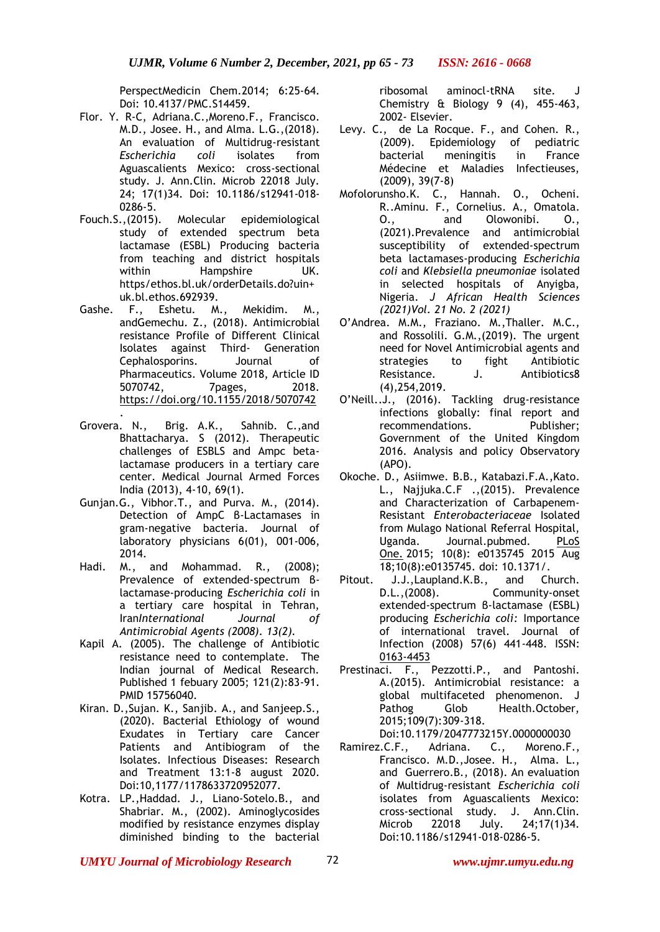PerspectMedicin Chem.2014; 6:25-64. Doi: 10.4137/PMC.S14459.

- Flor. Y. R-C, Adriana.C.,Moreno.F., Francisco. M.D., Josee. H., and Alma. L.G.,(2018). An evaluation of Multidrug-resistant *Escherichia coli* isolates from Aguascalients Mexico: cross-sectional study. J. Ann.Clin. Microb 22018 July. 24; 17(1)34. Doi: 10.1186/s12941-018- 0286-5.
- Fouch.S.,(2015). Molecular epidemiological study of extended spectrum beta lactamase (ESBL) Producing bacteria from teaching and district hospitals within Hampshire UK. https/ethos.bl.uk/orderDetails.do?uin+ uk.bl.ethos.692939.
- Gashe. F., Eshetu. M., Mekidim. M., andGemechu. Z., (2018). Antimicrobial resistance Profile of Different Clinical Isolates against Third- Generation Cephalosporins. Journal of Pharmaceutics. Volume 2018, Article ID 5070742, 7pages, 2018. <https://doi.org/10.1155/2018/5070742>
- . Grovera. N., Brig. A.K., Sahnib. C.,and Bhattacharya. S (2012). Therapeutic challenges of ESBLS and Ampc betalactamase producers in a tertiary care center. Medical Journal Armed Forces India (2013), 4-10, 69(1).
- Gunjan.G., Vibhor.T., and Purva. M., (2014). Detection of AmpC β-Lactamases in gram-negative bacteria. Journal of laboratory physicians 6(01), 001-006, 2014.
- Hadi. M., and Mohammad. R., (2008); Prevalence of extended-spectrum βlactamase-producing *Escherichia coli* in a tertiary care hospital in Tehran, Iran*International Journal of Antimicrobial Agents (2008). 13(2).*
- Kapil A. (2005). The challenge of Antibiotic resistance need to contemplate. The Indian journal of Medical Research. Published 1 febuary 2005; 121(2):83-91. PMID 15756040.
- Kiran. D.,Sujan. K., Sanjib. A., and Sanjeep.S., (2020). Bacterial Ethiology of wound Exudates in Tertiary care Cancer Patients and Antibiogram of the Isolates. Infectious Diseases: Research and Treatment 13:1-8 august 2020. Doi:10,1177/1178633720952077.
- Kotra. LP.,Haddad. J., Liano-Sotelo.B., and Shabriar. M., (2002). Aminoglycosides modified by resistance enzymes display diminished binding to the bacterial

ribosomal aminocl-tRNA site. J Chemistry & Biology 9 (4), 455-463, 2002- Elsevier.

- Levy. C., de La Rocque. F., and Cohen. R., (2009). Epidemiology of pediatric bacterial meningitis in France Médecine et Maladies Infectieuses, (2009), 39(7-8)
- Mofolorunsho.K. C., Hannah. O., Ocheni. R..Aminu. F., Cornelius. A., Omatola. O., and Olowonibi. O., (2021).Prevalence and antimicrobial susceptibility of extended-spectrum beta lactamases-producing *Escherichia coli* and *Klebsiella pneumoniae* isolated in selected hospitals of Anyigba, Nigeria. *J African Health Sciences (2021)Vol. 21 No. 2 (2021)*
- O'Andrea. M.M., Fraziano. M.,Thaller. M.C., and Rossolili. G.M.,(2019). The urgent need for Novel Antimicrobial agents and strategies to fight Antibiotic Resistance. J. Antibiotics8 (4),254,2019.
- O'Neill..J., (2016). Tackling drug-resistance infections globally: final report and recommendations. Publisher; Government of the United Kingdom 2016. Analysis and policy Observatory (APO).
- Okoche. D., Asiimwe. B.B., Katabazi.F.A.,Kato. L., Najjuka.C.F .,(2015). Prevalence and Characterization of Carbapenem-Resistant *Enterobacteriaceae* Isolated from Mulago National Referral Hospital,<br>Uganda. Journal.pubmed. PLoS Uganda. Journal.pubmed. [One.](https://www.ncbi.nlm.nih.gov/pmc/articles/PMC4540283/) 2015; 10(8): e0135745 2015 Aug 18;10(8):e0135745. doi: 10.1371/.
- Pitout. J.J.,Laupland.K.B., and Church. D.L.,(2008). Community-onset extended-spectrum β-lactamase (ESBL) producing *Escherichia coli:* Importance of international travel. Journal of Infection (2008) 57(6) 441-448. ISSN: [0163-4453](https://www.google.com/search?q=issn%0163-4453)
- Prestinaci. F., Pezzotti.P., and Pantoshi. A.(2015). Antimicrobial resistance: a global multifaceted phenomenon. J Pathog Glob Health.October, 2015;109(7):309-318. Doi:10.1179/2047773215Y.0000000030
- Ramirez.C.F., Adriana. C., Moreno.F., Francisco. M.D.,Josee. H., Alma. L., and Guerrero.B., (2018). An evaluation of Multidrug-resistant *Escherichia coli* isolates from Aguascalients Mexico: cross-sectional study. J. Ann.Clin. Microb 22018 July. 24;17(1)34. Doi:10.1186/s12941-018-0286-5.

*UMYU Journal of Microbiology Research www.ujmr.umyu.edu.ng*